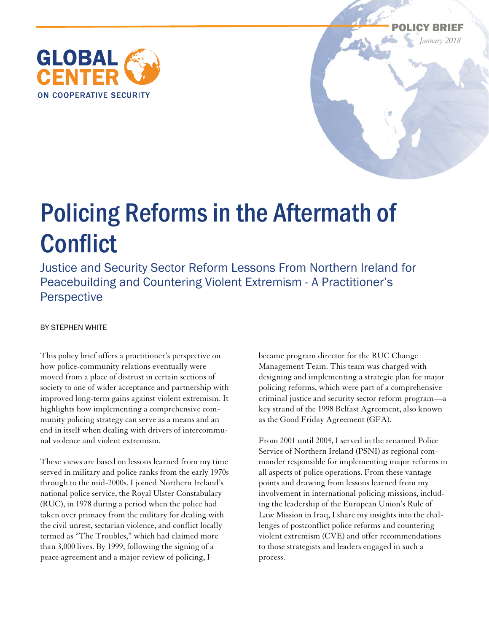



# Policing Reforms in the Aftermath of **Conflict**

Justice and Security Sector Reform Lessons From Northern Ireland for Peacebuilding and Countering Violent Extremism - A Practitioner's Perspective

#### BY STEPHEN WHITE

This policy brief offers a practitioner's perspective on how police-community relations eventually were moved from a place of distrust in certain sections of society to one of wider acceptance and partnership with improved long-term gains against violent extremism. It highlights how implementing a comprehensive community policing strategy can serve as a means and an end in itself when dealing with drivers of intercommunal violence and violent extremism.

These views are based on lessons learned from my time served in military and police ranks from the early 1970s through to the mid-2000s. I joined Northern Ireland's national police service, the Royal Ulster Constabulary (RUC), in 1978 during a period when the police had taken over primacy from the military for dealing with the civil unrest, sectarian violence, and conflict locally termed as "The Troubles," which had claimed more than 3,000 lives. By 1999, following the signing of a peace agreement and a major review of policing, I

became program director for the RUC Change Management Team. This team was charged with designing and implementing a strategic plan for major policing reforms, which were part of a comprehensive criminal justice and security sector reform program—a key strand of the 1998 Belfast Agreement, also known as the Good Friday Agreement (GFA).

From 2001 until 2004, I served in the renamed Police Service of Northern Ireland (PSNI) as regional commander responsible for implementing major reforms in all aspects of police operations. From these vantage points and drawing from lessons learned from my involvement in international policing missions, including the leadership of the European Union's Rule of Law Mission in Iraq, I share my insights into the challenges of postconflict police reforms and countering violent extremism (CVE) and offer recommendations to those strategists and leaders engaged in such a process.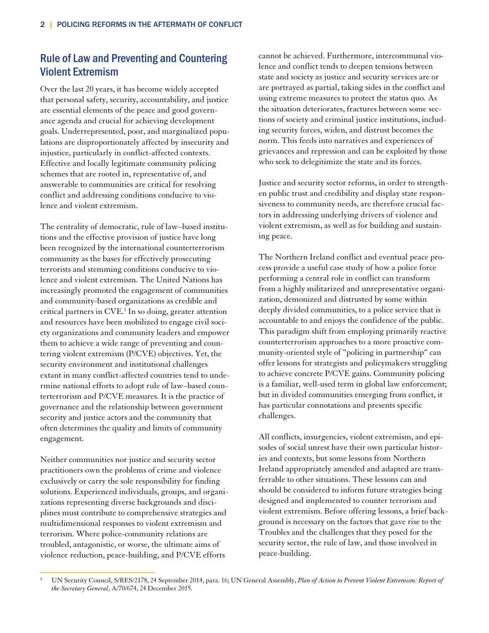## Rule of Law and Preventing and Countering Violent Extremism

Over the last 20 years, it has become widely accepted that personal safety, security, accountability, and justice are essential elements of the peace and good governance agenda and crucial for achieving development goals. Underrepresented, poor, and marginalized populations are disproportionately affected by insecurity and injustice, particularly in conflict-affected contexts. Effective and locally legitimate community policing schemes that are rooted in, representative of, and answerable to communities are critical for resolving conflict and addressing conditions conducive to violence and violent extremism.

The centrality of democratic, rule of law–based institutions and the effective provision of justice have long been recognized by the international counterterrorism community as the bases for effectively prosecuting terrorists and stemming conditions conducive to violence and violent extremism. The United Nations has increasingly promoted the engagement of communities and community-based organizations as credible and critical partners in CVE.1 In so doing, greater attention and resources have been mobilized to engage civil society organizations and community leaders and empower them to achieve a wide range of preventing and countering violent extremism (P/CVE) objectives. Yet, the security environment and institutional challenges extant in many conflict-affected countries tend to undermine national efforts to adopt rule of law–based counterterrorism and P/CVE measures. It is the practice of governance and the relationship between government security and justice actors and the community that often determines the quality and limits of community engagement.

Neither communities nor justice and security sector practitioners own the problems of crime and violence exclusively or carry the sole responsibility for finding solutions. Experienced individuals, groups, and organizations representing diverse backgrounds and disciplines must contribute to comprehensive strategies and multidimensional responses to violent extremism and terrorism. Where police-community relations are troubled, antagonistic, or worse, the ultimate aims of violence reduction, peace-building, and P/CVE efforts

cannot be achieved. Furthermore, intercommunal violence and conflict tends to deepen tensions between state and society as justice and security services are or are portrayed as partial, taking sides in the conflict and using extreme measures to protect the status quo. As the situation deteriorates, fractures between some sections of society and criminal justice institutions, including security forces, widen, and distrust becomes the norm. This feeds into narratives and experiences of grievances and repression and can be exploited by those who seek to delegitimize the state and its forces.

Justice and security sector reforms, in order to strengthen public trust and credibility and display state responsiveness to community needs, are therefore crucial factors in addressing underlying drivers of violence and violent extremism, as well as for building and sustaining peace.

The Northern Ireland conflict and eventual peace process provide a useful case study of how a police force performing a central role in conflict can transform from a highly militarized and unrepresentative organization, demonized and distrusted by some within deeply divided communities, to a police service that is accountable to and enjoys the confidence of the public. This paradigm shift from employing primarily reactive counterterrorism approaches to a more proactive community-oriented style of "policing in partnership" can offer lessons for strategists and policymakers struggling to achieve concrete P/CVE gains. Community policing is a familiar, well-used term in global law enforcement; but in divided communities emerging from conflict, it has particular connotations and presents specific challenges.

All conflicts, insurgencies, violent extremism, and episodes of social unrest have their own particular histories and contexts, but some lessons from Northern Ireland appropriately amended and adapted are transferrable to other situations. These lessons can and should be considered to inform future strategies being designed and implemented to counter terrorism and violent extremism. Before offering lessons, a brief background is necessary on the factors that gave rise to the Troubles and the challenges that they posed for the security sector, the rule of law, and those involved in peace-building.

 $\overline{a}$ 1 UN Security Council, S/RES/2178, 24 September 2014, para. 16; UN General Assembly, *Plan of Action to Prevent Violent Extremism: Report of the Secretary General*, A/70/674, 24 December 2015.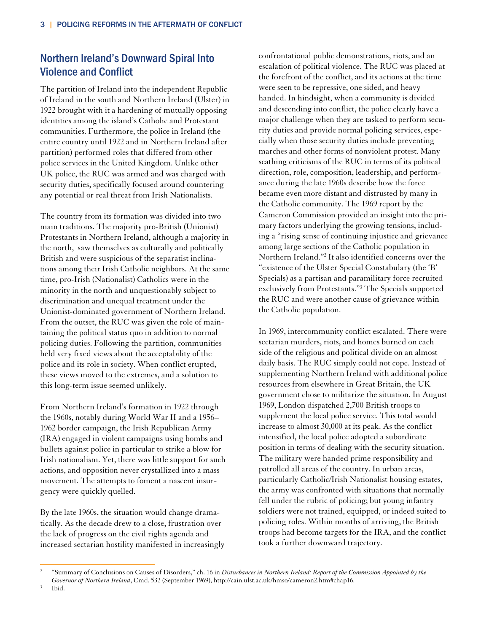# Northern Ireland's Downward Spiral Into Violence and Conflict

The partition of Ireland into the independent Republic of Ireland in the south and Northern Ireland (Ulster) in 1922 brought with it a hardening of mutually opposing identities among the island's Catholic and Protestant communities. Furthermore, the police in Ireland (the entire country until 1922 and in Northern Ireland after partition) performed roles that differed from other police services in the United Kingdom. Unlike other UK police, the RUC was armed and was charged with security duties, specifically focused around countering any potential or real threat from Irish Nationalists.

The country from its formation was divided into two main traditions. The majority pro-British (Unionist) Protestants in Northern Ireland, although a majority in the north, saw themselves as culturally and politically British and were suspicious of the separatist inclinations among their Irish Catholic neighbors. At the same time, pro-Irish (Nationalist) Catholics were in the minority in the north and unquestionably subject to discrimination and unequal treatment under the Unionist-dominated government of Northern Ireland. From the outset, the RUC was given the role of maintaining the political status quo in addition to normal policing duties. Following the partition, communities held very fixed views about the acceptability of the police and its role in society. When conflict erupted, these views moved to the extremes, and a solution to this long-term issue seemed unlikely.

From Northern Ireland's formation in 1922 through the 1960s, notably during World War II and a 1956– 1962 border campaign, the Irish Republican Army (IRA) engaged in violent campaigns using bombs and bullets against police in particular to strike a blow for Irish nationalism. Yet, there was little support for such actions, and opposition never crystallized into a mass movement. The attempts to foment a nascent insurgency were quickly quelled.

By the late 1960s, the situation would change dramatically. As the decade drew to a close, frustration over the lack of progress on the civil rights agenda and increased sectarian hostility manifested in increasingly confrontational public demonstrations, riots, and an escalation of political violence. The RUC was placed at the forefront of the conflict, and its actions at the time were seen to be repressive, one sided, and heavy handed. In hindsight, when a community is divided and descending into conflict, the police clearly have a major challenge when they are tasked to perform security duties and provide normal policing services, especially when those security duties include preventing marches and other forms of nonviolent protest. Many scathing criticisms of the RUC in terms of its political direction, role, composition, leadership, and performance during the late 1960s describe how the force became even more distant and distrusted by many in the Catholic community. The 1969 report by the Cameron Commission provided an insight into the primary factors underlying the growing tensions, including a "rising sense of continuing injustice and grievance among large sections of the Catholic population in Northern Ireland."2 It also identified concerns over the "existence of the Ulster Special Constabulary (the 'B' Specials) as a partisan and paramilitary force recruited exclusively from Protestants."3 The Specials supported the RUC and were another cause of grievance within the Catholic population.

In 1969, intercommunity conflict escalated. There were sectarian murders, riots, and homes burned on each side of the religious and political divide on an almost daily basis. The RUC simply could not cope. Instead of supplementing Northern Ireland with additional police resources from elsewhere in Great Britain, the UK government chose to militarize the situation. In August 1969, London dispatched 2,700 British troops to supplement the local police service. This total would increase to almost 30,000 at its peak. As the conflict intensified, the local police adopted a subordinate position in terms of dealing with the security situation. The military were handed prime responsibility and patrolled all areas of the country. In urban areas, particularly Catholic/Irish Nationalist housing estates, the army was confronted with situations that normally fell under the rubric of policing; but young infantry soldiers were not trained, equipped, or indeed suited to policing roles. Within months of arriving, the British troops had become targets for the IRA, and the conflict took a further downward trajectory.

Ibid.

 $\overline{a}$ 2 "Summary of Conclusions on Causes of Disorders," ch. 16 in *Disturbances in Northern Ireland: Report of the Commission Appointed by the Governor of Northern Ireland*, Cmd. 532 (September 1969), http://cain.ulst.ac.uk/hmso/cameron2.htm#chap16. 3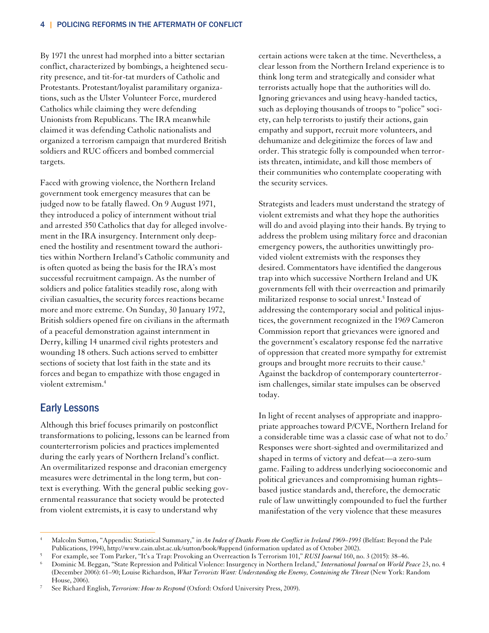By 1971 the unrest had morphed into a bitter sectarian conflict, characterized by bombings, a heightened security presence, and tit-for-tat murders of Catholic and Protestants. Protestant/loyalist paramilitary organizations, such as the Ulster Volunteer Force, murdered Catholics while claiming they were defending Unionists from Republicans. The IRA meanwhile claimed it was defending Catholic nationalists and organized a terrorism campaign that murdered British soldiers and RUC officers and bombed commercial targets.

Faced with growing violence, the Northern Ireland government took emergency measures that can be judged now to be fatally flawed. On 9 August 1971, they introduced a policy of internment without trial and arrested 350 Catholics that day for alleged involvement in the IRA insurgency. Internment only deepened the hostility and resentment toward the authorities within Northern Ireland's Catholic community and is often quoted as being the basis for the IRA's most successful recruitment campaign. As the number of soldiers and police fatalities steadily rose, along with civilian casualties, the security forces reactions became more and more extreme. On Sunday, 30 January 1972, British soldiers opened fire on civilians in the aftermath of a peaceful demonstration against internment in Derry, killing 14 unarmed civil rights protesters and wounding 18 others. Such actions served to embitter sections of society that lost faith in the state and its forces and began to empathize with those engaged in violent extremism.4

#### Early Lessons

 $\overline{a}$ 

Although this brief focuses primarily on postconflict transformations to policing, lessons can be learned from counterterrorism policies and practices implemented during the early years of Northern Ireland's conflict. An overmilitarized response and draconian emergency measures were detrimental in the long term, but context is everything. With the general public seeking governmental reassurance that society would be protected from violent extremists, it is easy to understand why

certain actions were taken at the time. Nevertheless, a clear lesson from the Northern Ireland experience is to think long term and strategically and consider what terrorists actually hope that the authorities will do. Ignoring grievances and using heavy-handed tactics, such as deploying thousands of troops to "police" society, can help terrorists to justify their actions, gain empathy and support, recruit more volunteers, and dehumanize and delegitimize the forces of law and order. This strategic folly is compounded when terrorists threaten, intimidate, and kill those members of their communities who contemplate cooperating with the security services.

Strategists and leaders must understand the strategy of violent extremists and what they hope the authorities will do and avoid playing into their hands. By trying to address the problem using military force and draconian emergency powers, the authorities unwittingly provided violent extremists with the responses they desired. Commentators have identified the dangerous trap into which successive Northern Ireland and UK governments fell with their overreaction and primarily militarized response to social unrest.5 Instead of addressing the contemporary social and political injustices, the government recognized in the 1969 Cameron Commission report that grievances were ignored and the government's escalatory response fed the narrative of oppression that created more sympathy for extremist groups and brought more recruits to their cause.<sup>6</sup> Against the backdrop of contemporary counterterrorism challenges, similar state impulses can be observed today.

In light of recent analyses of appropriate and inappropriate approaches toward P/CVE, Northern Ireland for a considerable time was a classic case of what not to  $do<sup>7</sup>$ Responses were short-sighted and overmilitarized and shaped in terms of victory and defeat—a zero-sum game. Failing to address underlying socioeconomic and political grievances and compromising human rights– based justice standards and, therefore, the democratic rule of law unwittingly compounded to fuel the further manifestation of the very violence that these measures

<sup>4</sup> Malcolm Sutton, "Appendix: Statistical Summary," in *An Index of Deaths From the Conflict in Ireland 1969–1993* (Belfast: Beyond the Pale Publications, 1994), http://www.cain.ulst.ac.uk/sutton/book/#append (information updated as of October 2002).

For example, see Tom Parker, "It's a Trap: Provoking an Overreaction Is Terrorism 101," *RUSI Journal* 160, no. 3 (2015): 38–46. 6

Dominic M. Beggan, "State Repression and Political Violence: Insurgency in Northern Ireland," *International Journal on World Peace* 23, no. 4 (December 2006): 61–90; Louise Richardson, *What Terrorists Want: Understanding the Enemy, Containing the Threat* (New York: Random House, 2006). 7

See Richard English, *Terrorism: How to Respond* (Oxford: Oxford University Press, 2009).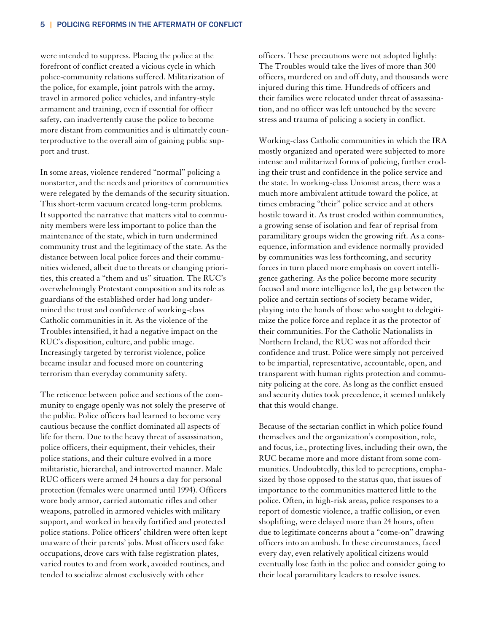were intended to suppress. Placing the police at the forefront of conflict created a vicious cycle in which police-community relations suffered. Militarization of the police, for example, joint patrols with the army, travel in armored police vehicles, and infantry-style armament and training, even if essential for officer safety, can inadvertently cause the police to become more distant from communities and is ultimately counterproductive to the overall aim of gaining public support and trust.

In some areas, violence rendered "normal" policing a nonstarter, and the needs and priorities of communities were relegated by the demands of the security situation. This short-term vacuum created long-term problems. It supported the narrative that matters vital to community members were less important to police than the maintenance of the state, which in turn undermined community trust and the legitimacy of the state. As the distance between local police forces and their communities widened, albeit due to threats or changing priorities, this created a "them and us" situation. The RUC's overwhelmingly Protestant composition and its role as guardians of the established order had long undermined the trust and confidence of working-class Catholic communities in it. As the violence of the Troubles intensified, it had a negative impact on the RUC's disposition, culture, and public image. Increasingly targeted by terrorist violence, police became insular and focused more on countering terrorism than everyday community safety.

The reticence between police and sections of the community to engage openly was not solely the preserve of the public. Police officers had learned to become very cautious because the conflict dominated all aspects of life for them. Due to the heavy threat of assassination, police officers, their equipment, their vehicles, their police stations, and their culture evolved in a more militaristic, hierarchal, and introverted manner. Male RUC officers were armed 24 hours a day for personal protection (females were unarmed until 1994). Officers wore body armor, carried automatic rifles and other weapons, patrolled in armored vehicles with military support, and worked in heavily fortified and protected police stations. Police officers' children were often kept unaware of their parents' jobs. Most officers used fake occupations, drove cars with false registration plates, varied routes to and from work, avoided routines, and tended to socialize almost exclusively with other

officers. These precautions were not adopted lightly: The Troubles would take the lives of more than 300 officers, murdered on and off duty, and thousands were injured during this time. Hundreds of officers and their families were relocated under threat of assassination, and no officer was left untouched by the severe stress and trauma of policing a society in conflict.

Working-class Catholic communities in which the IRA mostly organized and operated were subjected to more intense and militarized forms of policing, further eroding their trust and confidence in the police service and the state. In working-class Unionist areas, there was a much more ambivalent attitude toward the police, at times embracing "their" police service and at others hostile toward it. As trust eroded within communities, a growing sense of isolation and fear of reprisal from paramilitary groups widen the growing rift. As a consequence, information and evidence normally provided by communities was less forthcoming, and security forces in turn placed more emphasis on covert intelligence gathering. As the police become more security focused and more intelligence led, the gap between the police and certain sections of society became wider, playing into the hands of those who sought to delegitimize the police force and replace it as the protector of their communities. For the Catholic Nationalists in Northern Ireland, the RUC was not afforded their confidence and trust. Police were simply not perceived to be impartial, representative, accountable, open, and transparent with human rights protection and community policing at the core. As long as the conflict ensued and security duties took precedence, it seemed unlikely that this would change.

Because of the sectarian conflict in which police found themselves and the organization's composition, role, and focus, i.e., protecting lives, including their own, the RUC became more and more distant from some communities. Undoubtedly, this led to perceptions, emphasized by those opposed to the status quo, that issues of importance to the communities mattered little to the police. Often, in high-risk areas, police responses to a report of domestic violence, a traffic collision, or even shoplifting, were delayed more than 24 hours, often due to legitimate concerns about a "come-on" drawing officers into an ambush. In these circumstances, faced every day, even relatively apolitical citizens would eventually lose faith in the police and consider going to their local paramilitary leaders to resolve issues.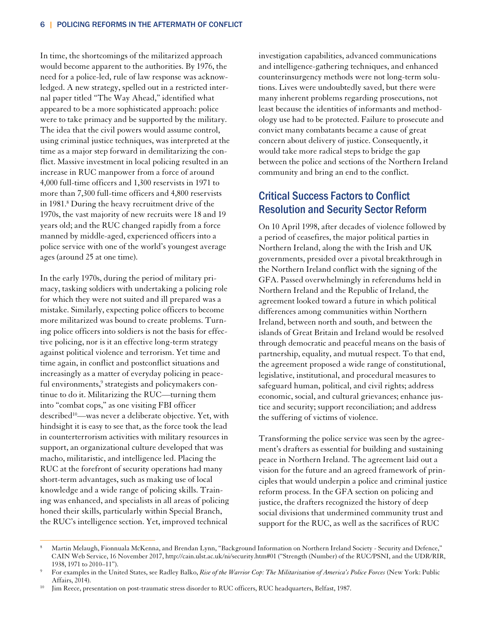In time, the shortcomings of the militarized approach would become apparent to the authorities. By 1976, the need for a police-led, rule of law response was acknowledged. A new strategy, spelled out in a restricted internal paper titled "The Way Ahead," identified what appeared to be a more sophisticated approach: police were to take primacy and be supported by the military. The idea that the civil powers would assume control, using criminal justice techniques, was interpreted at the time as a major step forward in demilitarizing the conflict. Massive investment in local policing resulted in an increase in RUC manpower from a force of around 4,000 full-time officers and 1,300 reservists in 1971 to more than 7,300 full-time officers and 4,800 reservists in 1981.8 During the heavy recruitment drive of the 1970s, the vast majority of new recruits were 18 and 19 years old; and the RUC changed rapidly from a force manned by middle-aged, experienced officers into a police service with one of the world's youngest average ages (around 25 at one time).

In the early 1970s, during the period of military primacy, tasking soldiers with undertaking a policing role for which they were not suited and ill prepared was a mistake. Similarly, expecting police officers to become more militarized was bound to create problems. Turning police officers into soldiers is not the basis for effective policing, nor is it an effective long-term strategy against political violence and terrorism. Yet time and time again, in conflict and postconflict situations and increasingly as a matter of everyday policing in peaceful environments,<sup>9</sup> strategists and policymakers continue to do it. Militarizing the RUC—turning them into "combat cops," as one visiting FBI officer described<sup>10</sup>—was never a deliberate objective. Yet, with hindsight it is easy to see that, as the force took the lead in counterterrorism activities with military resources in support, an organizational culture developed that was macho, militaristic, and intelligence led. Placing the RUC at the forefront of security operations had many short-term advantages, such as making use of local knowledge and a wide range of policing skills. Training was enhanced, and specialists in all areas of policing honed their skills, particularly within Special Branch, the RUC's intelligence section. Yet, improved technical

 $\overline{a}$ 

investigation capabilities, advanced communications and intelligence-gathering techniques, and enhanced counterinsurgency methods were not long-term solutions. Lives were undoubtedly saved, but there were many inherent problems regarding prosecutions, not least because the identities of informants and methodology use had to be protected. Failure to prosecute and convict many combatants became a cause of great concern about delivery of justice. Consequently, it would take more radical steps to bridge the gap between the police and sections of the Northern Ireland community and bring an end to the conflict.

### Critical Success Factors to Conflict Resolution and Security Sector Reform

On 10 April 1998, after decades of violence followed by a period of ceasefires, the major political parties in Northern Ireland, along the with the Irish and UK governments, presided over a pivotal breakthrough in the Northern Ireland conflict with the signing of the GFA. Passed overwhelmingly in referendums held in Northern Ireland and the Republic of Ireland, the agreement looked toward a future in which political differences among communities within Northern Ireland, between north and south, and between the islands of Great Britain and Ireland would be resolved through democratic and peaceful means on the basis of partnership, equality, and mutual respect. To that end, the agreement proposed a wide range of constitutional, legislative, institutional, and procedural measures to safeguard human, political, and civil rights; address economic, social, and cultural grievances; enhance justice and security; support reconciliation; and address the suffering of victims of violence.

Transforming the police service was seen by the agreement's drafters as essential for building and sustaining peace in Northern Ireland. The agreement laid out a vision for the future and an agreed framework of principles that would underpin a police and criminal justice reform process. In the GFA section on policing and justice, the drafters recognized the history of deep social divisions that undermined community trust and support for the RUC, as well as the sacrifices of RUC

<sup>8</sup> Martin Melaugh, Fionnuala McKenna, and Brendan Lynn, "Background Information on Northern Ireland Society - Security and Defence," CAIN Web Service, 16 November 2017, http://cain.ulst.ac.uk/ni/security.htm#01 ("Strength (Number) of the RUC/PSNI, and the UDR/RIR, 1938, 1971 to  $2010-11$ ").

For examples in the United States, see Radley Balko, *Rise of the Warrior Cop: The Militarization of America's Police Forces* (New York: Public

<sup>&</sup>lt;sup>10</sup> Jim Reece, presentation on post-traumatic stress disorder to RUC officers, RUC headquarters, Belfast, 1987.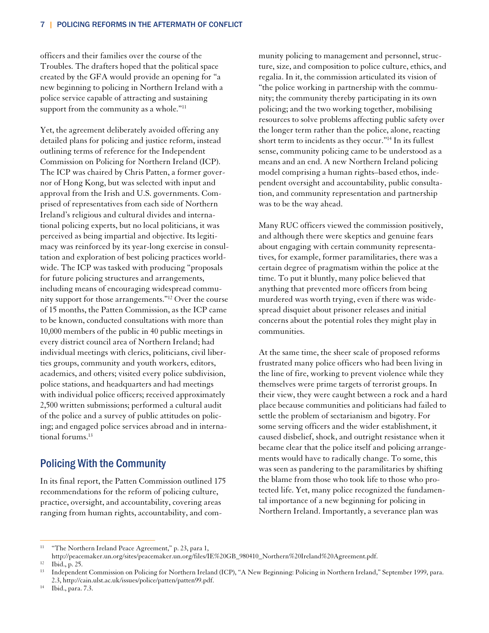officers and their families over the course of the Troubles. The drafters hoped that the political space created by the GFA would provide an opening for "a new beginning to policing in Northern Ireland with a police service capable of attracting and sustaining support from the community as a whole."<sup>11</sup>

Yet, the agreement deliberately avoided offering any detailed plans for policing and justice reform, instead outlining terms of reference for the Independent Commission on Policing for Northern Ireland (ICP). The ICP was chaired by Chris Patten, a former governor of Hong Kong, but was selected with input and approval from the Irish and U.S. governments. Comprised of representatives from each side of Northern Ireland's religious and cultural divides and international policing experts, but no local politicians, it was perceived as being impartial and objective. Its legitimacy was reinforced by its year-long exercise in consultation and exploration of best policing practices worldwide. The ICP was tasked with producing "proposals for future policing structures and arrangements, including means of encouraging widespread community support for those arrangements."12 Over the course of 15 months, the Patten Commission, as the ICP came to be known, conducted consultations with more than 10,000 members of the public in 40 public meetings in every district council area of Northern Ireland; had individual meetings with clerics, politicians, civil liberties groups, community and youth workers, editors, academics, and others; visited every police subdivision, police stations, and headquarters and had meetings with individual police officers; received approximately 2,500 written submissions; performed a cultural audit of the police and a survey of public attitudes on policing; and engaged police services abroad and in international forums.13

#### Policing With the Community

In its final report, the Patten Commission outlined 175 recommendations for the reform of policing culture, practice, oversight, and accountability, covering areas ranging from human rights, accountability, and community policing to management and personnel, structure, size, and composition to police culture, ethics, and regalia. In it, the commission articulated its vision of "the police working in partnership with the community; the community thereby participating in its own policing; and the two working together, mobilising resources to solve problems affecting public safety over the longer term rather than the police, alone, reacting short term to incidents as they occur."<sup>14</sup> In its fullest sense, community policing came to be understood as a means and an end. A new Northern Ireland policing model comprising a human rights–based ethos, independent oversight and accountability, public consultation, and community representation and partnership was to be the way ahead.

Many RUC officers viewed the commission positively, and although there were skeptics and genuine fears about engaging with certain community representatives, for example, former paramilitaries, there was a certain degree of pragmatism within the police at the time. To put it bluntly, many police believed that anything that prevented more officers from being murdered was worth trying, even if there was widespread disquiet about prisoner releases and initial concerns about the potential roles they might play in communities.

At the same time, the sheer scale of proposed reforms frustrated many police officers who had been living in the line of fire, working to prevent violence while they themselves were prime targets of terrorist groups. In their view, they were caught between a rock and a hard place because communities and politicians had failed to settle the problem of sectarianism and bigotry. For some serving officers and the wider establishment, it caused disbelief, shock, and outright resistance when it became clear that the police itself and policing arrangements would have to radically change. To some, this was seen as pandering to the paramilitaries by shifting the blame from those who took life to those who protected life. Yet, many police recognized the fundamental importance of a new beginning for policing in Northern Ireland. Importantly, a severance plan was

 $\overline{a}$ 

<sup>&</sup>lt;sup>11</sup> "The Northern Ireland Peace Agreement," p. 23, para 1,

http://peacemaker.un.org/sites/peacemaker.un.org/files/IE%20GB\_980410\_Northern%20Ireland%20Agreement.pdf. 12 Ibid., p. 25.

<sup>13</sup> Independent Commission on Policing for Northern Ireland (ICP), "A New Beginning: Policing in Northern Ireland," September 1999, para. 2.3, http://cain.ulst.ac.uk/issues/police/patten/patten99.pdf. 14 Ibid., para. 7.3.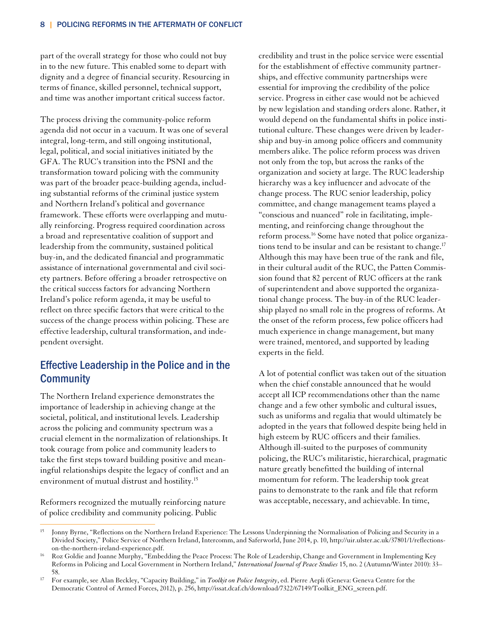part of the overall strategy for those who could not buy in to the new future. This enabled some to depart with dignity and a degree of financial security. Resourcing in terms of finance, skilled personnel, technical support, and time was another important critical success factor.

The process driving the community-police reform agenda did not occur in a vacuum. It was one of several integral, long-term, and still ongoing institutional, legal, political, and social initiatives initiated by the GFA. The RUC's transition into the PSNI and the transformation toward policing with the community was part of the broader peace-building agenda, including substantial reforms of the criminal justice system and Northern Ireland's political and governance framework. These efforts were overlapping and mutually reinforcing. Progress required coordination across a broad and representative coalition of support and leadership from the community, sustained political buy-in, and the dedicated financial and programmatic assistance of international governmental and civil society partners. Before offering a broader retrospective on the critical success factors for advancing Northern Ireland's police reform agenda, it may be useful to reflect on three specific factors that were critical to the success of the change process within policing. These are effective leadership, cultural transformation, and independent oversight.

## Effective Leadership in the Police and in the **Community**

The Northern Ireland experience demonstrates the importance of leadership in achieving change at the societal, political, and institutional levels. Leadership across the policing and community spectrum was a crucial element in the normalization of relationships. It took courage from police and community leaders to take the first steps toward building positive and meaningful relationships despite the legacy of conflict and an environment of mutual distrust and hostility.15

Reformers recognized the mutually reinforcing nature of police credibility and community policing. Public

 $\overline{a}$ 

credibility and trust in the police service were essential for the establishment of effective community partnerships, and effective community partnerships were essential for improving the credibility of the police service. Progress in either case would not be achieved by new legislation and standing orders alone. Rather, it would depend on the fundamental shifts in police institutional culture. These changes were driven by leadership and buy-in among police officers and community members alike. The police reform process was driven not only from the top, but across the ranks of the organization and society at large. The RUC leadership hierarchy was a key influencer and advocate of the change process. The RUC senior leadership, policy committee, and change management teams played a "conscious and nuanced" role in facilitating, implementing, and reinforcing change throughout the reform process.<sup>16</sup> Some have noted that police organizations tend to be insular and can be resistant to change.<sup>17</sup> Although this may have been true of the rank and file, in their cultural audit of the RUC, the Patten Commission found that 82 percent of RUC officers at the rank of superintendent and above supported the organizational change process. The buy-in of the RUC leadership played no small role in the progress of reforms. At the onset of the reform process, few police officers had much experience in change management, but many were trained, mentored, and supported by leading experts in the field.

A lot of potential conflict was taken out of the situation when the chief constable announced that he would accept all ICP recommendations other than the name change and a few other symbolic and cultural issues, such as uniforms and regalia that would ultimately be adopted in the years that followed despite being held in high esteem by RUC officers and their families. Although ill-suited to the purposes of community policing, the RUC's militaristic, hierarchical, pragmatic nature greatly benefitted the building of internal momentum for reform. The leadership took great pains to demonstrate to the rank and file that reform was acceptable, necessary, and achievable. In time,

<sup>&</sup>lt;sup>15</sup> Jonny Byrne, "Reflections on the Northern Ireland Experience: The Lessons Underpinning the Normalisation of Policing and Security in a Divided Society," Police Service of Northern Ireland, Intercomm, and Saferworld, June 2014, p. 10, http://uir.ulster.ac.uk/37801/1/reflectionson-the-northern-ireland-experience.pdf.<br>16 Roz Goldie and Joanne Murphy, "Embedding the Peace Process: The Role of Leadership, Change and Government in Implementing Key

Reforms in Policing and Local Government in Northern Ireland," *International Journal of Peace Studies* 15, no. 2 (Autumn/Winter 2010): 33–

<sup>&</sup>lt;sup>17</sup> For example, see Alan Beckley, "Capacity Building," in *Toolkit on Police Integrity*, ed. Pierre Aepli (Geneva: Geneva Centre for the Democratic Control of Armed Forces, 2012), p. 256, http://issat.dcaf.ch/download/7322/67149/Toolkit\_ENG\_screen.pdf.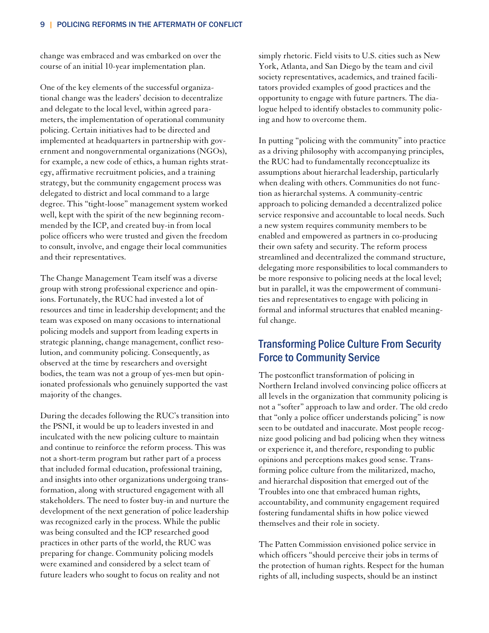change was embraced and was embarked on over the course of an initial 10-year implementation plan.

One of the key elements of the successful organizational change was the leaders' decision to decentralize and delegate to the local level, within agreed parameters, the implementation of operational community policing. Certain initiatives had to be directed and implemented at headquarters in partnership with government and nongovernmental organizations (NGOs), for example, a new code of ethics, a human rights strategy, affirmative recruitment policies, and a training strategy, but the community engagement process was delegated to district and local command to a large degree. This "tight-loose" management system worked well, kept with the spirit of the new beginning recommended by the ICP, and created buy-in from local police officers who were trusted and given the freedom to consult, involve, and engage their local communities and their representatives.

The Change Management Team itself was a diverse group with strong professional experience and opinions. Fortunately, the RUC had invested a lot of resources and time in leadership development; and the team was exposed on many occasions to international policing models and support from leading experts in strategic planning, change management, conflict resolution, and community policing. Consequently, as observed at the time by researchers and oversight bodies, the team was not a group of yes-men but opinionated professionals who genuinely supported the vast majority of the changes.

During the decades following the RUC's transition into the PSNI, it would be up to leaders invested in and inculcated with the new policing culture to maintain and continue to reinforce the reform process. This was not a short-term program but rather part of a process that included formal education, professional training, and insights into other organizations undergoing transformation, along with structured engagement with all stakeholders. The need to foster buy-in and nurture the development of the next generation of police leadership was recognized early in the process. While the public was being consulted and the ICP researched good practices in other parts of the world, the RUC was preparing for change. Community policing models were examined and considered by a select team of future leaders who sought to focus on reality and not

simply rhetoric. Field visits to U.S. cities such as New York, Atlanta, and San Diego by the team and civil society representatives, academics, and trained facilitators provided examples of good practices and the opportunity to engage with future partners. The dialogue helped to identify obstacles to community policing and how to overcome them.

In putting "policing with the community" into practice as a driving philosophy with accompanying principles, the RUC had to fundamentally reconceptualize its assumptions about hierarchal leadership, particularly when dealing with others. Communities do not function as hierarchal systems. A community-centric approach to policing demanded a decentralized police service responsive and accountable to local needs. Such a new system requires community members to be enabled and empowered as partners in co-producing their own safety and security. The reform process streamlined and decentralized the command structure, delegating more responsibilities to local commanders to be more responsive to policing needs at the local level; but in parallel, it was the empowerment of communities and representatives to engage with policing in formal and informal structures that enabled meaningful change.

## Transforming Police Culture From Security Force to Community Service

The postconflict transformation of policing in Northern Ireland involved convincing police officers at all levels in the organization that community policing is not a "softer" approach to law and order. The old credo that "only a police officer understands policing" is now seen to be outdated and inaccurate. Most people recognize good policing and bad policing when they witness or experience it, and therefore, responding to public opinions and perceptions makes good sense. Transforming police culture from the militarized, macho, and hierarchal disposition that emerged out of the Troubles into one that embraced human rights, accountability, and community engagement required fostering fundamental shifts in how police viewed themselves and their role in society.

The Patten Commission envisioned police service in which officers "should perceive their jobs in terms of the protection of human rights. Respect for the human rights of all, including suspects, should be an instinct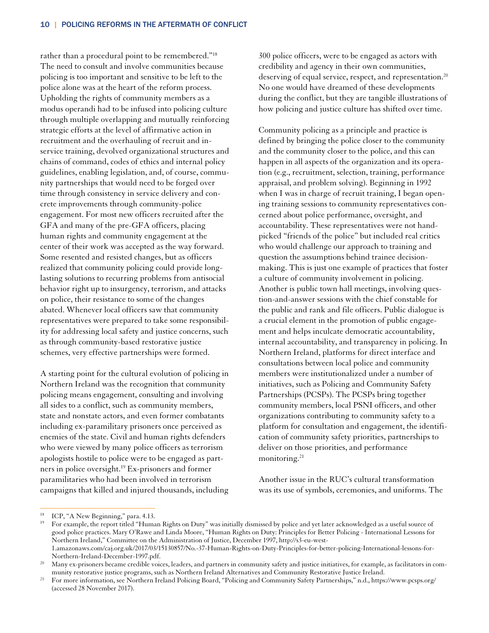rather than a procedural point to be remembered."18 The need to consult and involve communities because policing is too important and sensitive to be left to the police alone was at the heart of the reform process. Upholding the rights of community members as a modus operandi had to be infused into policing culture through multiple overlapping and mutually reinforcing strategic efforts at the level of affirmative action in recruitment and the overhauling of recruit and inservice training, devolved organizational structures and chains of command, codes of ethics and internal policy guidelines, enabling legislation, and, of course, community partnerships that would need to be forged over time through consistency in service delivery and concrete improvements through community-police engagement. For most new officers recruited after the GFA and many of the pre-GFA officers, placing human rights and community engagement at the center of their work was accepted as the way forward. Some resented and resisted changes, but as officers realized that community policing could provide longlasting solutions to recurring problems from antisocial behavior right up to insurgency, terrorism, and attacks on police, their resistance to some of the changes abated. Whenever local officers saw that community representatives were prepared to take some responsibility for addressing local safety and justice concerns, such as through community-based restorative justice schemes, very effective partnerships were formed.

A starting point for the cultural evolution of policing in Northern Ireland was the recognition that community policing means engagement, consulting and involving all sides to a conflict, such as community members, state and nonstate actors, and even former combatants including ex-paramilitary prisoners once perceived as enemies of the state. Civil and human rights defenders who were viewed by many police officers as terrorism apologists hostile to police were to be engaged as partners in police oversight.19 Ex-prisoners and former paramilitaries who had been involved in terrorism campaigns that killed and injured thousands, including 300 police officers, were to be engaged as actors with credibility and agency in their own communities, deserving of equal service, respect, and representation.<sup>20</sup> No one would have dreamed of these developments during the conflict, but they are tangible illustrations of how policing and justice culture has shifted over time.

Community policing as a principle and practice is defined by bringing the police closer to the community and the community closer to the police, and this can happen in all aspects of the organization and its operation (e.g., recruitment, selection, training, performance appraisal, and problem solving). Beginning in 1992 when I was in charge of recruit training, I began opening training sessions to community representatives concerned about police performance, oversight, and accountability. These representatives were not handpicked "friends of the police" but included real critics who would challenge our approach to training and question the assumptions behind trainee decisionmaking. This is just one example of practices that foster a culture of community involvement in policing. Another is public town hall meetings, involving question-and-answer sessions with the chief constable for the public and rank and file officers. Public dialogue is a crucial element in the promotion of public engagement and helps inculcate democratic accountability, internal accountability, and transparency in policing. In Northern Ireland, platforms for direct interface and consultations between local police and community members were institutionalized under a number of initiatives, such as Policing and Community Safety Partnerships (PCSPs). The PCSPs bring together community members, local PSNI officers, and other organizations contributing to community safety to a platform for consultation and engagement, the identification of community safety priorities, partnerships to deliver on those priorities, and performance monitoring.<sup>21</sup>

Another issue in the RUC's cultural transformation was its use of symbols, ceremonies, and uniforms. The

 $\overline{a}$ 

ICP, "A New Beginning," para. 4.13.

<sup>19</sup> For example, the report titled "Human Rights on Duty" was initially dismissed by police and yet later acknowledged as a useful source of good police practices. Mary O'Rawe and Linda Moore, "Human Rights on Duty: Principles for Better Policing - International Lessons for Northern Ireland," Committee on the Administration of Justice, December 1997, http://s3-eu-west-1.amazonaws.com/caj.org.uk/2017/03/15130857/No.-37-Human-Rights-on-Duty-Principles-for-better-policing-International-lessons-for-

Northern-Ireland-December-1997.pdf.<br>20 Many ex-prisoners became credible voices, leaders, and partners in community safety and justice initiatives, for example, as facilitators in com-

munity restorative justice programs, such as Northern Ireland Alternatives and Community Restorative Justice Ireland.<br><sup>21</sup> For more information, see Northern Ireland Policing Board, "Policing and Community Safety Partnersh (accessed 28 November 2017).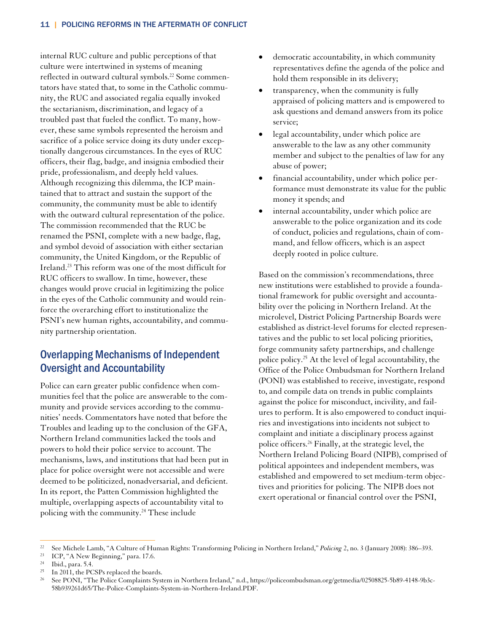internal RUC culture and public perceptions of that culture were intertwined in systems of meaning reflected in outward cultural symbols.<sup>22</sup> Some commentators have stated that, to some in the Catholic community, the RUC and associated regalia equally invoked the sectarianism, discrimination, and legacy of a troubled past that fueled the conflict. To many, however, these same symbols represented the heroism and sacrifice of a police service doing its duty under exceptionally dangerous circumstances. In the eyes of RUC officers, their flag, badge, and insignia embodied their pride, professionalism, and deeply held values. Although recognizing this dilemma, the ICP maintained that to attract and sustain the support of the community, the community must be able to identify with the outward cultural representation of the police. The commission recommended that the RUC be renamed the PSNI, complete with a new badge, flag, and symbol devoid of association with either sectarian community, the United Kingdom, or the Republic of Ireland.23 This reform was one of the most difficult for RUC officers to swallow. In time, however, these changes would prove crucial in legitimizing the police in the eyes of the Catholic community and would reinforce the overarching effort to institutionalize the PSNI's new human rights, accountability, and community partnership orientation.

# Overlapping Mechanisms of Independent Oversight and Accountability

Police can earn greater public confidence when communities feel that the police are answerable to the community and provide services according to the communities' needs. Commentators have noted that before the Troubles and leading up to the conclusion of the GFA, Northern Ireland communities lacked the tools and powers to hold their police service to account. The mechanisms, laws, and institutions that had been put in place for police oversight were not accessible and were deemed to be politicized, nonadversarial, and deficient. In its report, the Patten Commission highlighted the multiple, overlapping aspects of accountability vital to policing with the community.<sup>24</sup> These include

- democratic accountability, in which community representatives define the agenda of the police and hold them responsible in its delivery;
- transparency, when the community is fully appraised of policing matters and is empowered to ask questions and demand answers from its police service;
- legal accountability, under which police are answerable to the law as any other community member and subject to the penalties of law for any abuse of power;
- financial accountability, under which police performance must demonstrate its value for the public money it spends; and
- internal accountability, under which police are answerable to the police organization and its code of conduct, policies and regulations, chain of command, and fellow officers, which is an aspect deeply rooted in police culture.

Based on the commission's recommendations, three new institutions were established to provide a foundational framework for public oversight and accountability over the policing in Northern Ireland. At the microlevel, District Policing Partnership Boards were established as district-level forums for elected representatives and the public to set local policing priorities, forge community safety partnerships, and challenge police policy.25 At the level of legal accountability, the Office of the Police Ombudsman for Northern Ireland (PONI) was established to receive, investigate, respond to, and compile data on trends in public complaints against the police for misconduct, incivility, and failures to perform. It is also empowered to conduct inquiries and investigations into incidents not subject to complaint and initiate a disciplinary process against police officers.26 Finally, at the strategic level, the Northern Ireland Policing Board (NIPB), comprised of political appointees and independent members, was established and empowered to set medium-term objectives and priorities for policing. The NIPB does not exert operational or financial control over the PSNI,

 $\overline{a}$ 

<sup>&</sup>lt;sup>22</sup> See Michele Lamb, "A Culture of Human Rights: Transforming Policing in Northern Ireland," *Policing* 2, no. 3 (January 2008): 386–393.<br><sup>23</sup> ICP, "A New Beginning," para. 17.6.<br><sup>24</sup> Ibid. para. 5.4

 $\frac{24}{25}$  Ibid., para. 5.4.

In 2011, the PCSPs replaced the boards.

<sup>26</sup> See PONI, "The Police Complaints System in Northern Ireland," n.d., https://policeombudsman.org/getmedia/02508825-5b89-4148-9b3c-58b939261d65/The-Police-Complaints-System-in-Northern-Ireland.PDF.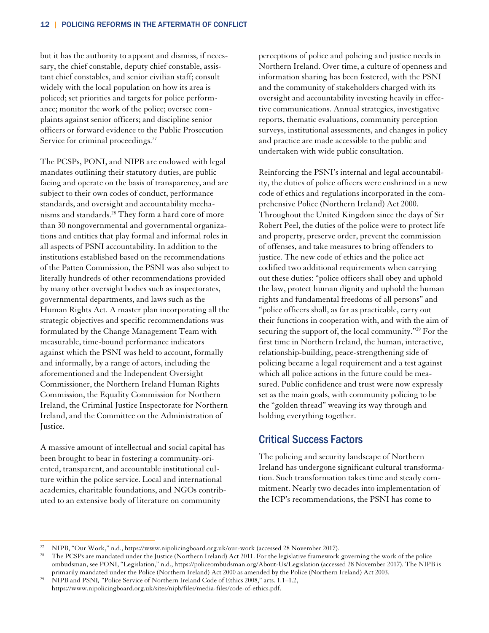but it has the authority to appoint and dismiss, if necessary, the chief constable, deputy chief constable, assistant chief constables, and senior civilian staff; consult widely with the local population on how its area is policed; set priorities and targets for police performance; monitor the work of the police; oversee complaints against senior officers; and discipline senior officers or forward evidence to the Public Prosecution Service for criminal proceedings.<sup>27</sup>

The PCSPs, PONI, and NIPB are endowed with legal mandates outlining their statutory duties, are public facing and operate on the basis of transparency, and are subject to their own codes of conduct, performance standards, and oversight and accountability mechanisms and standards.28 They form a hard core of more than 30 nongovernmental and governmental organizations and entities that play formal and informal roles in all aspects of PSNI accountability. In addition to the institutions established based on the recommendations of the Patten Commission, the PSNI was also subject to literally hundreds of other recommendations provided by many other oversight bodies such as inspectorates, governmental departments, and laws such as the Human Rights Act. A master plan incorporating all the strategic objectives and specific recommendations was formulated by the Change Management Team with measurable, time-bound performance indicators against which the PSNI was held to account, formally and informally, by a range of actors, including the aforementioned and the Independent Oversight Commissioner, the Northern Ireland Human Rights Commission, the Equality Commission for Northern Ireland, the Criminal Justice Inspectorate for Northern Ireland, and the Committee on the Administration of Justice.

A massive amount of intellectual and social capital has been brought to bear in fostering a community-oriented, transparent, and accountable institutional culture within the police service. Local and international academics, charitable foundations, and NGOs contributed to an extensive body of literature on community

 $\overline{a}$ 

perceptions of police and policing and justice needs in Northern Ireland. Over time, a culture of openness and information sharing has been fostered, with the PSNI and the community of stakeholders charged with its oversight and accountability investing heavily in effective communications. Annual strategies, investigative reports, thematic evaluations, community perception surveys, institutional assessments, and changes in policy and practice are made accessible to the public and undertaken with wide public consultation.

Reinforcing the PSNI's internal and legal accountability, the duties of police officers were enshrined in a new code of ethics and regulations incorporated in the comprehensive Police (Northern Ireland) Act 2000. Throughout the United Kingdom since the days of Sir Robert Peel, the duties of the police were to protect life and property, preserve order, prevent the commission of offenses, and take measures to bring offenders to justice. The new code of ethics and the police act codified two additional requirements when carrying out these duties: "police officers shall obey and uphold the law, protect human dignity and uphold the human rights and fundamental freedoms of all persons" and "police officers shall, as far as practicable, carry out their functions in cooperation with, and with the aim of securing the support of, the local community."29 For the first time in Northern Ireland, the human, interactive, relationship-building, peace-strengthening side of policing became a legal requirement and a test against which all police actions in the future could be measured. Public confidence and trust were now expressly set as the main goals, with community policing to be the "golden thread" weaving its way through and holding everything together.

### Critical Success Factors

The policing and security landscape of Northern Ireland has undergone significant cultural transformation. Such transformation takes time and steady commitment. Nearly two decades into implementation of the ICP's recommendations, the PSNI has come to

<sup>&</sup>lt;sup>27</sup> NIPB, "Our Work," n.d., https://www.nipolicingboard.org.uk/our-work (accessed 28 November 2017).<br><sup>28</sup> The PCSPs are mandated under the Justice (Northern Ireland) Act 2011. For the legislative framework governing the w ombudsman, see PONI, "Legislation," n.d., https://policeombudsman.org/About-Us/Legislation (accessed 28 November 2017). The NIPB is primarily mandated under the Police (Northern Ireland) Act 2000 as amended by the Police (Northern Ireland) Act 2003. 29 NIPB and PSNI*, "*Police Service of Northern Ireland Code of Ethics 2008," arts. 1.1–1.2,

https://www.nipolicingboard.org.uk/sites/nipb/files/media-files/code-of-ethics.pdf.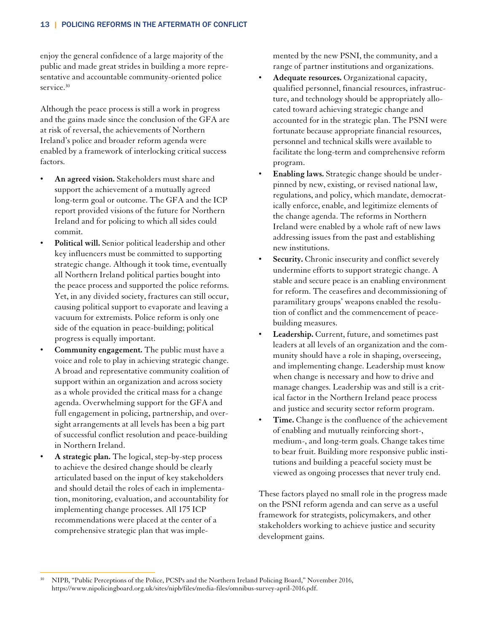enjoy the general confidence of a large majority of the public and made great strides in building a more representative and accountable community-oriented police service.<sup>30</sup>

Although the peace process is still a work in progress and the gains made since the conclusion of the GFA are at risk of reversal, the achievements of Northern Ireland's police and broader reform agenda were enabled by a framework of interlocking critical success factors.

- **An agreed vision.** Stakeholders must share and support the achievement of a mutually agreed long-term goal or outcome. The GFA and the ICP report provided visions of the future for Northern Ireland and for policing to which all sides could commit.
- **Political will.** Senior political leadership and other key influencers must be committed to supporting strategic change. Although it took time, eventually all Northern Ireland political parties bought into the peace process and supported the police reforms. Yet, in any divided society, fractures can still occur, causing political support to evaporate and leaving a vacuum for extremists. Police reform is only one side of the equation in peace-building; political progress is equally important.
- **Community engagement.** The public must have a voice and role to play in achieving strategic change. A broad and representative community coalition of support within an organization and across society as a whole provided the critical mass for a change agenda. Overwhelming support for the GFA and full engagement in policing, partnership, and oversight arrangements at all levels has been a big part of successful conflict resolution and peace-building in Northern Ireland.
- **A strategic plan.** The logical, step-by-step process to achieve the desired change should be clearly articulated based on the input of key stakeholders and should detail the roles of each in implementation, monitoring, evaluation, and accountability for implementing change processes. All 175 ICP recommendations were placed at the center of a comprehensive strategic plan that was imple-

mented by the new PSNI, the community, and a range of partner institutions and organizations.

- **Adequate resources.** Organizational capacity, qualified personnel, financial resources, infrastructure, and technology should be appropriately allocated toward achieving strategic change and accounted for in the strategic plan. The PSNI were fortunate because appropriate financial resources, personnel and technical skills were available to facilitate the long-term and comprehensive reform program.
- **Enabling laws.** Strategic change should be underpinned by new, existing, or revised national law, regulations, and policy, which mandate, democratically enforce, enable, and legitimize elements of the change agenda. The reforms in Northern Ireland were enabled by a whole raft of new laws addressing issues from the past and establishing new institutions.
- Security. Chronic insecurity and conflict severely undermine efforts to support strategic change. A stable and secure peace is an enabling environment for reform. The ceasefires and decommissioning of paramilitary groups' weapons enabled the resolution of conflict and the commencement of peacebuilding measures.
- **Leadership.** Current, future, and sometimes past leaders at all levels of an organization and the community should have a role in shaping, overseeing, and implementing change. Leadership must know when change is necessary and how to drive and manage changes. Leadership was and still is a critical factor in the Northern Ireland peace process and justice and security sector reform program.
- **Time.** Change is the confluence of the achievement of enabling and mutually reinforcing short-, medium-, and long-term goals. Change takes time to bear fruit. Building more responsive public institutions and building a peaceful society must be viewed as ongoing processes that never truly end.

These factors played no small role in the progress made on the PSNI reform agenda and can serve as a useful framework for strategists, policymakers, and other stakeholders working to achieve justice and security development gains.

 $\overline{a}$ 30 NIPB, "Public Perceptions of the Police, PCSPs and the Northern Ireland Policing Board," November 2016, https://www.nipolicingboard.org.uk/sites/nipb/files/media-files/omnibus-survey-april-2016.pdf.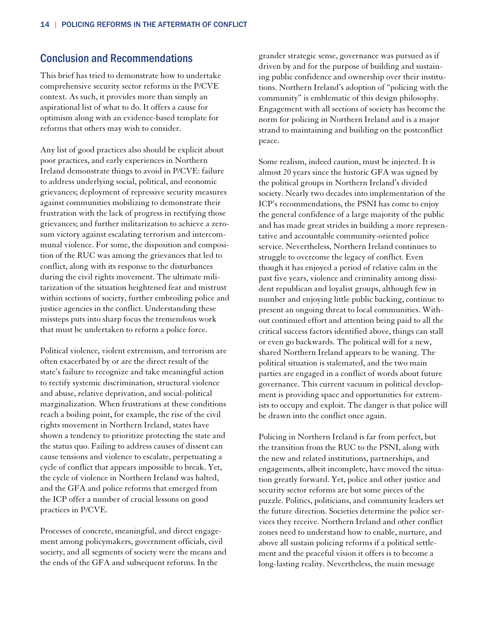#### Conclusion and Recommendations

This brief has tried to demonstrate how to undertake comprehensive security sector reforms in the P/CVE context. As such, it provides more than simply an aspirational list of what to do. It offers a cause for optimism along with an evidence-based template for reforms that others may wish to consider.

Any list of good practices also should be explicit about poor practices, and early experiences in Northern Ireland demonstrate things to avoid in P/CVE: failure to address underlying social, political, and economic grievances; deployment of repressive security measures against communities mobilizing to demonstrate their frustration with the lack of progress in rectifying those grievances; and further militarization to achieve a zerosum victory against escalating terrorism and intercommunal violence. For some, the disposition and composition of the RUC was among the grievances that led to conflict, along with its response to the disturbances during the civil rights movement. The ultimate militarization of the situation heightened fear and mistrust within sections of society, further embroiling police and justice agencies in the conflict. Understanding these missteps puts into sharp focus the tremendous work that must be undertaken to reform a police force.

Political violence, violent extremism, and terrorism are often exacerbated by or are the direct result of the state's failure to recognize and take meaningful action to rectify systemic discrimination, structural violence and abuse, relative deprivation, and social-political marginalization. When frustrations at these conditions reach a boiling point, for example, the rise of the civil rights movement in Northern Ireland, states have shown a tendency to prioritize protecting the state and the status quo. Failing to address causes of dissent can cause tensions and violence to escalate, perpetuating a cycle of conflict that appears impossible to break. Yet, the cycle of violence in Northern Ireland was halted, and the GFA and police reforms that emerged from the ICP offer a number of crucial lessons on good practices in P/CVE.

Processes of concrete, meaningful, and direct engagement among policymakers, government officials, civil society, and all segments of society were the means and the ends of the GFA and subsequent reforms. In the

grander strategic sense, governance was pursued as if driven by and for the purpose of building and sustaining public confidence and ownership over their institutions. Northern Ireland's adoption of "policing with the community" is emblematic of this design philosophy. Engagement with all sections of society has become the norm for policing in Northern Ireland and is a major strand to maintaining and building on the postconflict peace.

Some realism, indeed caution, must be injected. It is almost 20 years since the historic GFA was signed by the political groups in Northern Ireland's divided society. Nearly two decades into implementation of the ICP's recommendations, the PSNI has come to enjoy the general confidence of a large majority of the public and has made great strides in building a more representative and accountable community-oriented police service. Nevertheless, Northern Ireland continues to struggle to overcome the legacy of conflict. Even though it has enjoyed a period of relative calm in the past five years, violence and criminality among dissident republican and loyalist groups, although few in number and enjoying little public backing, continue to present an ongoing threat to local communities. Without continued effort and attention being paid to all the critical success factors identified above, things can stall or even go backwards. The political will for a new, shared Northern Ireland appears to be waning. The political situation is stalemated, and the two main parties are engaged in a conflict of words about future governance. This current vacuum in political development is providing space and opportunities for extremists to occupy and exploit. The danger is that police will be drawn into the conflict once again.

Policing in Northern Ireland is far from perfect, but the transition from the RUC to the PSNI, along with the new and related institutions, partnerships, and engagements, albeit incomplete, have moved the situation greatly forward. Yet, police and other justice and security sector reforms are but some pieces of the puzzle. Politics, politicians, and community leaders set the future direction. Societies determine the police services they receive. Northern Ireland and other conflict zones need to understand how to enable, nurture, and above all sustain policing reforms if a political settlement and the peaceful vision it offers is to become a long-lasting reality. Nevertheless, the main message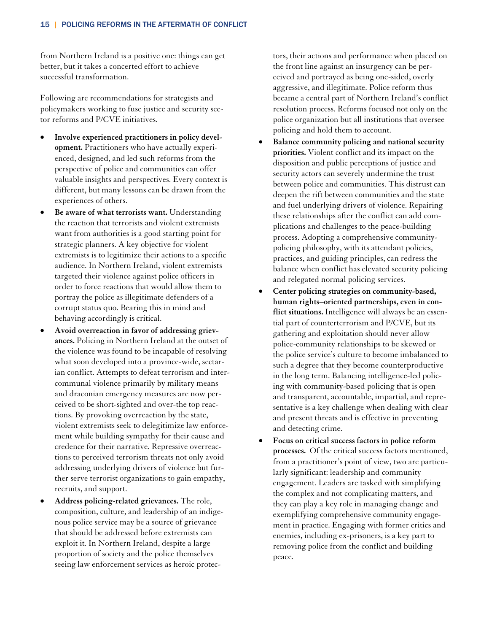from Northern Ireland is a positive one: things can get better, but it takes a concerted effort to achieve successful transformation.

Following are recommendations for strategists and policymakers working to fuse justice and security sector reforms and P/CVE initiatives.

- **Involve experienced practitioners in policy development.** Practitioners who have actually experienced, designed, and led such reforms from the perspective of police and communities can offer valuable insights and perspectives. Every context is different, but many lessons can be drawn from the experiences of others.
- **Be aware of what terrorists want.** Understanding the reaction that terrorists and violent extremists want from authorities is a good starting point for strategic planners. A key objective for violent extremists is to legitimize their actions to a specific audience. In Northern Ireland, violent extremists targeted their violence against police officers in order to force reactions that would allow them to portray the police as illegitimate defenders of a corrupt status quo. Bearing this in mind and behaving accordingly is critical.
- **Avoid overreaction in favor of addressing grievances.** Policing in Northern Ireland at the outset of the violence was found to be incapable of resolving what soon developed into a province-wide, sectarian conflict. Attempts to defeat terrorism and intercommunal violence primarily by military means and draconian emergency measures are now perceived to be short-sighted and over-the top reactions. By provoking overreaction by the state, violent extremists seek to delegitimize law enforcement while building sympathy for their cause and credence for their narrative. Repressive overreactions to perceived terrorism threats not only avoid addressing underlying drivers of violence but further serve terrorist organizations to gain empathy, recruits, and support.
- **Address policing-related grievances.** The role, composition, culture, and leadership of an indigenous police service may be a source of grievance that should be addressed before extremists can exploit it. In Northern Ireland, despite a large proportion of society and the police themselves seeing law enforcement services as heroic protec-

tors, their actions and performance when placed on the front line against an insurgency can be perceived and portrayed as being one-sided, overly aggressive, and illegitimate. Police reform thus became a central part of Northern Ireland's conflict resolution process. Reforms focused not only on the police organization but all institutions that oversee policing and hold them to account.

- **Balance community policing and national security priorities.** Violent conflict and its impact on the disposition and public perceptions of justice and security actors can severely undermine the trust between police and communities. This distrust can deepen the rift between communities and the state and fuel underlying drivers of violence. Repairing these relationships after the conflict can add complications and challenges to the peace-building process. Adopting a comprehensive communitypolicing philosophy, with its attendant policies, practices, and guiding principles, can redress the balance when conflict has elevated security policing and relegated normal policing services.
- **Center policing strategies on community-based, human rights–oriented partnerships, even in conflict situations.** Intelligence will always be an essential part of counterterrorism and P/CVE, but its gathering and exploitation should never allow police-community relationships to be skewed or the police service's culture to become imbalanced to such a degree that they become counterproductive in the long term. Balancing intelligence-led policing with community-based policing that is open and transparent, accountable, impartial, and representative is a key challenge when dealing with clear and present threats and is effective in preventing and detecting crime.
- **Focus on critical success factors in police reform processes.** Of the critical success factors mentioned, from a practitioner's point of view, two are particularly significant: leadership and community engagement. Leaders are tasked with simplifying the complex and not complicating matters, and they can play a key role in managing change and exemplifying comprehensive community engagement in practice. Engaging with former critics and enemies, including ex-prisoners, is a key part to removing police from the conflict and building peace.